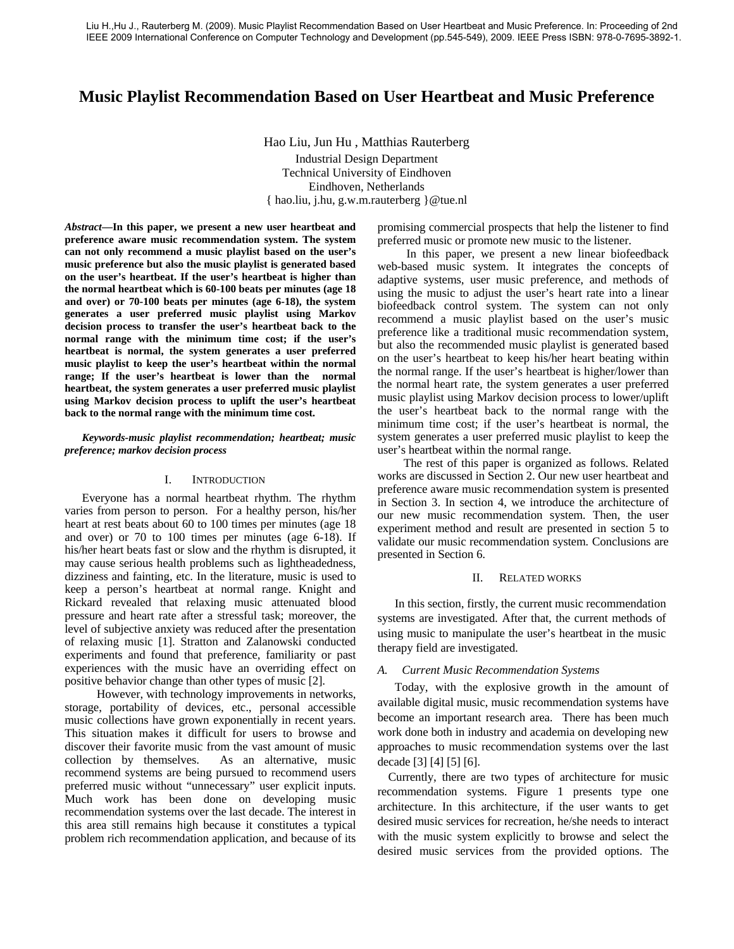# **Music Playlist Recommendation Based on User Heartbeat and Music Preference**

Hao Liu, Jun Hu , Matthias Rauterberg Industrial Design Department Technical University of Eindhoven Eindhoven, Netherlands { hao.liu, j.hu, g.w.m.rauterberg }@tue.nl

*Abstract***—In this paper, we present a new user heartbeat and preference aware music recommendation system. The system can not only recommend a music playlist based on the user's music preference but also the music playlist is generated based on the user's heartbeat. If the user's heartbeat is higher than the normal heartbeat which is 60-100 beats per minutes (age 18 and over) or 70-100 beats per minutes (age 6-18), the system generates a user preferred music playlist using Markov decision process to transfer the user's heartbeat back to the normal range with the minimum time cost; if the user's heartbeat is normal, the system generates a user preferred music playlist to keep the user's heartbeat within the normal range; If the user's heartbeat is lower than the normal heartbeat, the system generates a user preferred music playlist using Markov decision process to uplift the user's heartbeat back to the normal range with the minimum time cost.** 

## *Keywords-music playlist recommendation; heartbeat; music preference; markov decision process*

#### I. INTRODUCTION

Everyone has a normal heartbeat rhythm. The rhythm varies from person to person. For a healthy person, his/her heart at rest beats about 60 to 100 times per minutes (age 18) and over) or 70 to 100 times per minutes (age 6-18). If his/her heart beats fast or slow and the rhythm is disrupted, it may cause serious health problems such as lightheadedness, dizziness and fainting, etc. In the literature, music is used to keep a person's heartbeat at normal range. Knight and Rickard revealed that relaxing music attenuated blood pressure and heart rate after a stressful task; moreover, the level of subjective anxiety was reduced after the presentation of relaxing music [1]. Stratton and Zalanowski conducted experiments and found that preference, familiarity or past experiences with the music have an overriding effect on positive behavior change than other types of music [2].

 However, with technology improvements in networks, storage, portability of devices, etc., personal accessible music collections have grown exponentially in recent years. This situation makes it difficult for users to browse and discover their favorite music from the vast amount of music collection by themselves. As an alternative, music recommend systems are being pursued to recommend users preferred music without "unnecessary" user explicit inputs. Much work has been done on developing music recommendation systems over the last decade. The interest in this area still remains high because it constitutes a typical problem rich recommendation application, and because of its

promising commercial prospects that help the listener to find preferred music or promote new music to the listener.

 In this paper, we present a new linear biofeedback web-based music system. It integrates the concepts of adaptive systems, user music preference, and methods of using the music to adjust the user's heart rate into a linear biofeedback control system. The system can not only recommend a music playlist based on the user's music preference like a traditional music recommendation system, but also the recommended music playlist is generated based on the user's heartbeat to keep his/her heart beating within the normal range. If the user's heartbeat is higher/lower than the normal heart rate, the system generates a user preferred music playlist using Markov decision process to lower/uplift the user's heartbeat back to the normal range with the minimum time cost; if the user's heartbeat is normal, the system generates a user preferred music playlist to keep the user's heartbeat within the normal range.

 The rest of this paper is organized as follows. Related works are discussed in Section 2. Our new user heartbeat and preference aware music recommendation system is presented in Section 3. In section 4, we introduce the architecture of our new music recommendation system. Then, the user experiment method and result are presented in section 5 to validate our music recommendation system. Conclusions are presented in Section 6.

#### II. RELATED WORKS

In this section, firstly, the current music recommendation systems are investigated. After that, the current methods of using music to manipulate the user's heartbeat in the music therapy field are investigated.

### *A. Current Music Recommendation Systems*

Today, with the explosive growth in the amount of available digital music, music recommendation systems have become an important research area. There has been much work done both in industry and academia on developing new approaches to music recommendation systems over the last decade [3] [4] [5] [6].

Currently, there are two types of architecture for music recommendation systems. Figure 1 presents type one architecture. In this architecture, if the user wants to get desired music services for recreation, he/she needs to interact with the music system explicitly to browse and select the desired music services from the provided options. The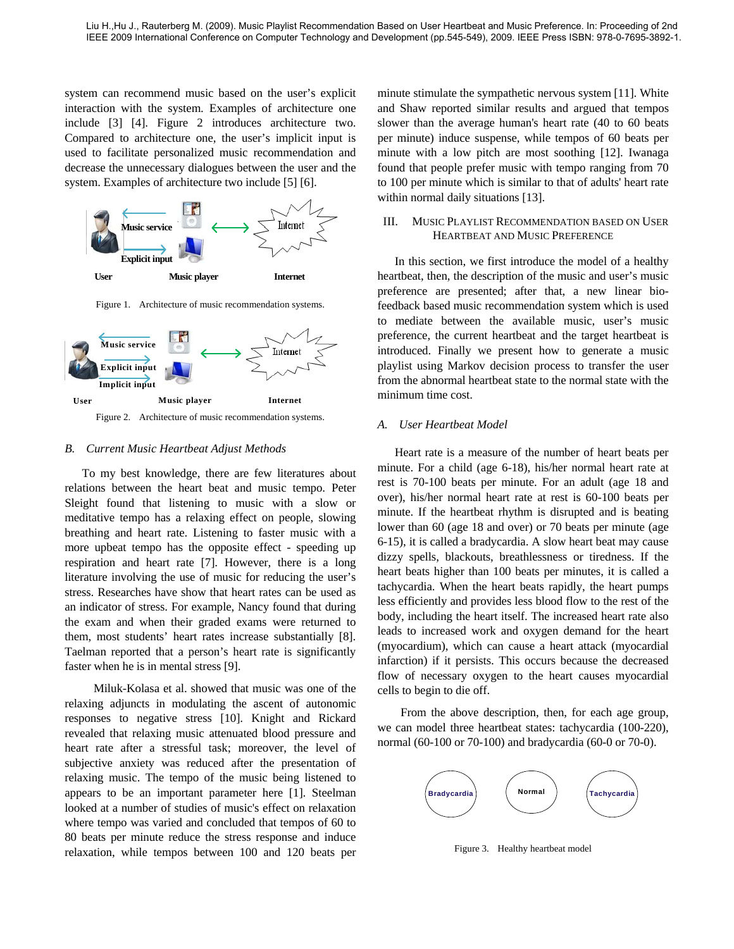system can recommend music based on the user's explicit interaction with the system. Examples of architecture one include [3] [4]. Figure 2 introduces architecture two. Compared to architecture one, the user's implicit input is used to facilitate personalized music recommendation and decrease the unnecessary dialogues between the user and the system. Examples of architecture two include [5] [6].



Figure 1. Architecture of music recommendation systems.



# *B. Current Music Heartbeat Adjust Methods*

To my best knowledge, there are few literatures about relations between the heart beat and music tempo. Peter Sleight found that listening to music with a slow or meditative tempo has a relaxing effect on people, slowing breathing and heart rate. Listening to faster music with a more upbeat tempo has the opposite effect - speeding up respiration and heart rate [7]. However, there is a long literature involving the use of music for reducing the user's stress. Researches have show that heart rates can be used as an indicator of stress. For example, Nancy found that during the exam and when their graded exams were returned to them, most students' heart rates increase substantially [8]. Taelman reported that a person's heart rate is significantly faster when he is in mental stress [9].

 Miluk-Kolasa et al. showed that music was one of the relaxing adjuncts in modulating the ascent of autonomic responses to negative stress [10]. Knight and Rickard revealed that relaxing music attenuated blood pressure and heart rate after a stressful task; moreover, the level of subjective anxiety was reduced after the presentation of relaxing music. The tempo of the music being listened to appears to be an important parameter here [1]. Steelman looked at a number of studies of music's effect on relaxation where tempo was varied and concluded that tempos of 60 to 80 beats per minute reduce the stress response and induce relaxation, while tempos between 100 and 120 beats per

minute stimulate the sympathetic nervous system [11]. White and Shaw reported similar results and argued that tempos slower than the average human's heart rate (40 to 60 beats per minute) induce suspense, while tempos of 60 beats per minute with a low pitch are most soothing [12]. Iwanaga found that people prefer music with tempo ranging from 70 to 100 per minute which is similar to that of adults' heart rate within normal daily situations [13].

## **Music PLAYLIST RECOMMENDATION BASED ON USER** HEARTBEAT AND MUSIC PREFERENCE

In this section, we first introduce the model of a healthy heartbeat, then, the description of the music and user's music preference are presented; after that, a new linear biofeedback based music recommendation system which is used to mediate between the available music, user's music preference, the current heartbeat and the target heartbeat is introduced. Finally we present how to generate a music playlist using Markov decision process to transfer the user from the abnormal heartbeat state to the normal state with the

## *A. User Heartbeat Model*

Heart rate is a measure of the number of heart beats per minute. For a child (age 6-18), his/her normal heart rate at rest is 70-100 beats per minute. For an adult (age 18 and over), his/her normal heart rate at rest is 60-100 beats per minute. If the heartbeat rhythm is disrupted and is beating lower than 60 (age 18 and over) or 70 beats per minute (age 6-15), it is called a bradycardia. A slow heart beat may cause dizzy spells, blackouts, breathlessness or tiredness. If the heart beats higher than 100 beats per minutes, it is called a tachycardia. When the heart beats rapidly, the heart pumps less efficiently and provides less blood flow to the rest of the body, including the heart itself. The increased heart rate also leads to increased work and oxygen demand for the heart (myocardium), which can cause a heart attack (myocardial infarction) if it persists. This occurs because the decreased flow of necessary oxygen to the heart causes myocardial cells to begin to die off.

 From the above description, then, for each age group, we can model three heartbeat states: tachycardia (100-220), normal (60-100 or 70-100) and bradycardia (60-0 or 70-0).



Figure 3. Healthy heartbeat model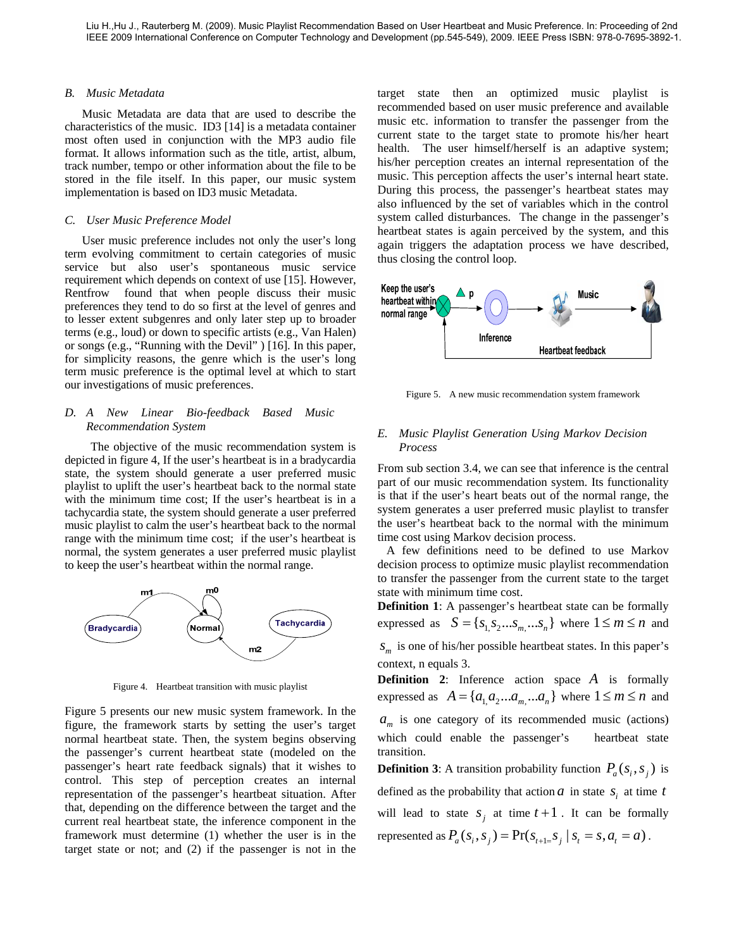#### *B. Music Metadata*

Music Metadata are data that are used to describe the characteristics of the music. ID3 [14] is a metadata container most often used in conjunction with the MP3 audio file format. It allows information such as the title, artist, album, track number, tempo or other information about the file to be stored in the file itself. In this paper, our music system implementation is based on ID3 music Metadata.

#### *C. User Music Preference Model*

User music preference includes not only the user's long term evolving commitment to certain categories of music service but also user's spontaneous music service requirement which depends on context of use [15]. However, Rentfrow found that when people discuss their music preferences they tend to do so first at the level of genres and to lesser extent subgenres and only later step up to broader terms (e.g., loud) or down to specific artists (e.g., Van Halen) or songs (e.g., "Running with the Devil" ) [16]. In this paper, for simplicity reasons, the genre which is the user's long term music preference is the optimal level at which to start our investigations of music preferences.

# *D. A New Linear Bio-feedback Based Music Recommendation System*

 The objective of the music recommendation system is depicted in figure 4, If the user's heartbeat is in a bradycardia state, the system should generate a user preferred music playlist to uplift the user's heartbeat back to the normal state with the minimum time cost; If the user's heartbeat is in a tachycardia state, the system should generate a user preferred music playlist to calm the user's heartbeat back to the normal range with the minimum time cost; if the user's heartbeat is normal, the system generates a user preferred music playlist to keep the user's heartbeat within the normal range.



Figure 4. Heartbeat transition with music playlist

Figure 5 presents our new music system framework. In the figure, the framework starts by setting the user's target normal heartbeat state. Then, the system begins observing the passenger's current heartbeat state (modeled on the passenger's heart rate feedback signals) that it wishes to control. This step of perception creates an internal representation of the passenger's heartbeat situation. After that, depending on the difference between the target and the current real heartbeat state, the inference component in the framework must determine (1) whether the user is in the target state or not; and (2) if the passenger is not in the target state then an optimized music playlist is recommended based on user music preference and available music etc. information to transfer the passenger from the current state to the target state to promote his/her heart health. The user himself/herself is an adaptive system; his/her perception creates an internal representation of the music. This perception affects the user's internal heart state. During this process, the passenger's heartbeat states may also influenced by the set of variables which in the control system called disturbances. The change in the passenger's heartbeat states is again perceived by the system, and this again triggers the adaptation process we have described, thus closing the control loop.



Figure 5. A new music recommendation system framework

## *E. Music Playlist Generation Using Markov Decision Process*

From sub section 3.4, we can see that inference is the central part of our music recommendation system. Its functionality is that if the user's heart beats out of the normal range, the system generates a user preferred music playlist to transfer the user's heartbeat back to the normal with the minimum time cost using Markov decision process.

 A few definitions need to be defined to use Markov decision process to optimize music playlist recommendation to transfer the passenger from the current state to the target state with minimum time cost.

**Definition 1**: A passenger's heartbeat state can be formally expressed as  $S = \{s_1, s_2, \ldots s_m, \ldots s_n\}$  where  $1 \le m \le n$  and  $s_m$  is one of his/her possible heartbeat states. In this paper's context, n equals 3.

**Definition 2:** Inference action space  $\overline{A}$  is formally expressed as  $A = \{a_{1,} a_{2} ... a_{m,} ... a_{n}\}$  where  $1 \le m \le n$  and  $a_m$  is one category of its recommended music (actions) which could enable the passenger's heartbeat state transition.

**Definition 3**: A transition probability function  $P_a(s_i, s_j)$  is defined as the probability that action *a* in state  $s_i$  at time *t* will lead to state  $s_j$  at time  $t+1$ . It can be formally represented as  $P_a(s_i, s_j) = Pr(s_{t+1} = s_j | s_t = s, a_t = a)$ .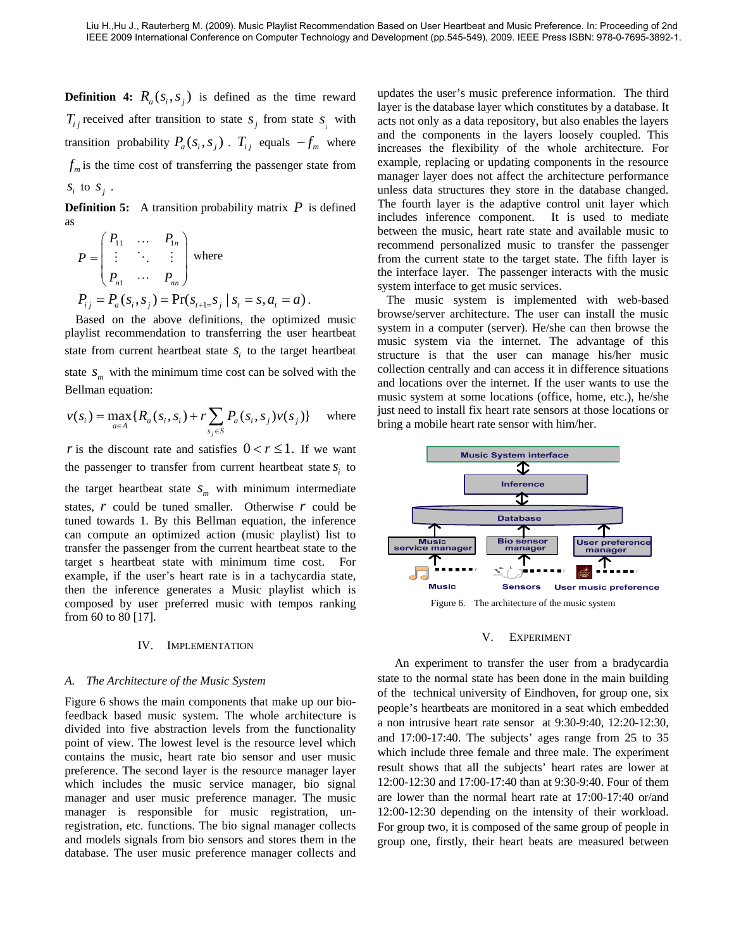**Definition 4:**  $R_a(s_i, s_j)$  is defined as the time reward  $T_{ij}$  received after transition to state  $S_j$  from state  $S_i$  with transition probability  $P_a(s_i, s_j)$ .  $T_{ij}$  equals  $-f_m$  where  $f_m$  is the time cost of transferring the passenger state from  $S_i$  to  $S_j$ .

**Definition 5:** A transition probability matrix  $P$  is defined as

$$
P = \begin{pmatrix} P_{11} & \dots & P_{1n} \\ \vdots & \ddots & \vdots \\ P_{n1} & \dots & P_{nn} \end{pmatrix}
$$
 where  

$$
P_{ij} = P_a(s_i, s_j) = \Pr(s_{t+1=} s_j | s_t = s, a_t = a).
$$

Based on the above definitions, the optimized music playlist recommendation to transferring the user heartbeat state from current heartbeat state  $s_i$  to the target heartbeat state  $S_m$  with the minimum time cost can be solved with the Bellman equation:

$$
v(s_i) = \max_{a \in A} \{ R_a(s_i, s_i) + r \sum_{s_j \in S} P_a(s_i, s_j) v(s_j) \} \quad \text{where}
$$

*r* is the discount rate and satisfies  $0 < r \le 1$ . If we want the passenger to transfer from current heartbeat state  $s_i$  to the target heartbeat state  $s_m$  with minimum intermediate states,  $r$  could be tuned smaller. Otherwise  $r$  could be tuned towards 1. By this Bellman equation, the inference can compute an optimized action (music playlist) list to transfer the passenger from the current heartbeat state to the target s heartbeat state with minimum time cost. For example, if the user's heart rate is in a tachycardia state, then the inference generates a Music playlist which is composed by user preferred music with tempos ranking from 60 to 80 [17].

# IV. IMPLEMENTATION

# *A. The Architecture of the Music System*

Figure 6 shows the main components that make up our biofeedback based music system. The whole architecture is divided into five abstraction levels from the functionality point of view. The lowest level is the resource level which contains the music, heart rate bio sensor and user music preference. The second layer is the resource manager layer which includes the music service manager, bio signal manager and user music preference manager. The music manager is responsible for music registration, unregistration, etc. functions. The bio signal manager collects and models signals from bio sensors and stores them in the database. The user music preference manager collects and updates the user's music preference information. The third layer is the database layer which constitutes by a database. It acts not only as a data repository, but also enables the layers and the components in the layers loosely coupled. This increases the flexibility of the whole architecture. For example, replacing or updating components in the resource manager layer does not affect the architecture performance unless data structures they store in the database changed. The fourth layer is the adaptive control unit layer which includes inference component. It is used to mediate between the music, heart rate state and available music to recommend personalized music to transfer the passenger from the current state to the target state. The fifth layer is the interface layer. The passenger interacts with the music system interface to get music services.

 The music system is implemented with web-based browse/server architecture. The user can install the music system in a computer (server). He/she can then browse the music system via the internet. The advantage of this structure is that the user can manage his/her music collection centrally and can access it in difference situations and locations over the internet. If the user wants to use the music system at some locations (office, home, etc.), he/she just need to install fix heart rate sensors at those locations or bring a mobile heart rate sensor with him/her.



#### V. EXPERIMENT

An experiment to transfer the user from a bradycardia state to the normal state has been done in the main building of the technical university of Eindhoven, for group one, six people's heartbeats are monitored in a seat which embedded a non intrusive heart rate sensor at 9:30-9:40, 12:20-12:30, and 17:00-17:40. The subjects' ages range from 25 to 35 which include three female and three male. The experiment result shows that all the subjects' heart rates are lower at 12:00-12:30 and 17:00-17:40 than at 9:30-9:40. Four of them are lower than the normal heart rate at 17:00-17:40 or/and 12:00-12:30 depending on the intensity of their workload. For group two, it is composed of the same group of people in group one, firstly, their heart beats are measured between